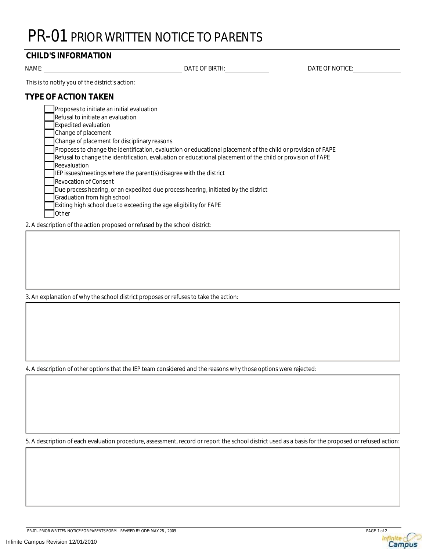## PR-01 PRIOR WRITTEN NOTICE TO PARENTS

### **CHILD'S INFORMATION**

NAME: DATE OF BIRTH: DATE OF NOTICE:

This is to notify you of the district's action:

#### **TYPE OF ACTION TAKEN**

| Proposes to initiate an initial evaluation                                                                   |
|--------------------------------------------------------------------------------------------------------------|
| Refusal to initiate an evaluation                                                                            |
| <b>Expedited evaluation</b>                                                                                  |
| Change of placement                                                                                          |
| Change of placement for disciplinary reasons                                                                 |
| Proposes to change the identification, evaluation or educational placement of the child or provision of FAPE |
| Refusal to change the identification, evaluation or educational placement of the child or provision of FAPE  |
| Reevaluation                                                                                                 |
| IEP issues/meetings where the parent(s) disagree with the district                                           |
| <b>I</b> Revocation of Consent                                                                               |
| Due process hearing, or an expedited due process hearing, initiated by the district                          |
| Graduation from high school                                                                                  |
| Exiting high school due to exceeding the age eligibility for FAPE                                            |
| Other                                                                                                        |

2. A description of the action proposed or refused by the school district:

3. An explanation of why the school district proposes or refuses to take the action:

4. A description of other options that the IEP team considered and the reasons why those options were rejected:

5. A description of each evaluation procedure, assessment, record or report the school district used as a basis for the proposed or refused action: